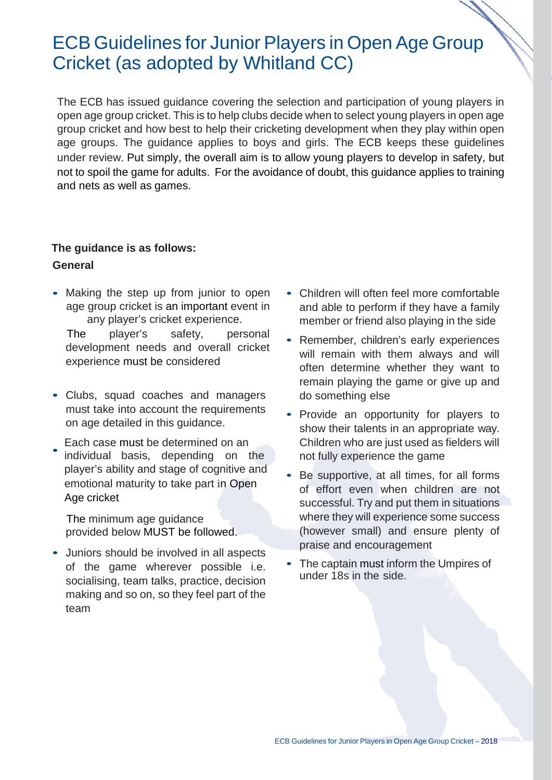# ECB Guidelines for Junior Players in Open Age Group Cricket (as adopted by Whitland CC)

The ECB has issued guidance covering the selection and participation of young players in open age group cricket. This is to help clubs decide when to select young players in open age group cricket and how best to help their cricketing development when they play within open age groups. The guidance applies to boys and girls. The ECB keeps these guidelines under review. Put simply, the overall aim is to allow young players to develop in safety, but not to spoil the game for adults. For the avoidance of doubt, this guidance applies to training and nets as well as games.

# **The guidance is as follows: General**

• Making the step up from junior to open age group cricket is an important event in any player's cricket experience. The player's safety, personal

development needs and overall cricket experience must be considered

- Clubs, squad coaches and managers must take into account the requirements on age detailed in this guidance.
- Each case must be determined on an individual basis, depending on the player's ability and stage of cognitive and emotional maturity to take part in Open Age cricket •

The minimum age guidance provided below MUST be followed.

• Juniors should be involved in all aspects of the game wherever possible i.e. socialising, team talks, practice, decision making and so on, so they feel part of the team

- Children will often feel more comfortable and able to perform if they have a family member or friend also playing in the side
- Remember, children's early experiences will remain with them always and will often determine whether they want to remain playing the game or give up and do something else
- Provide an opportunity for players to show their talents in an appropriate way. Children who are just used as fielders will not fully experience the game
- Be supportive, at all times, for all forms of effort even when children are not successful. Try and put them in situations where they will experience some success (however small) and ensure plenty of praise and encouragement
- The captain must inform the Umpires of under 18s in the side.